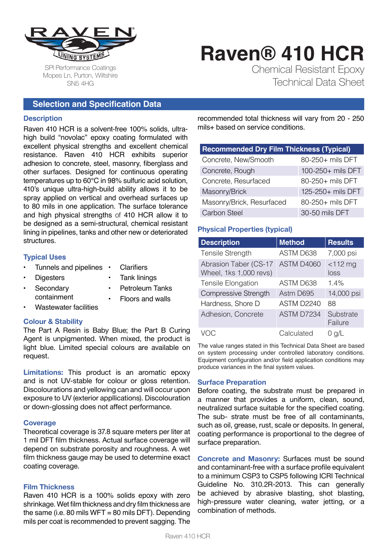

# **Raven® 410 HCR** Chemical Resistant Epoxy

Technical Data Sheet

SPI Performance Coatings Mopes Ln, Purton, Wiltshire SN5 4HG

# **Selection and Specification Data**

#### **Description**

Raven 410 HCR is a solvent-free 100% solids, ultrahigh build "novolac" epoxy coating formulated with excellent physical strengths and excellent chemical resistance. Raven 410 HCR exhibits superior adhesion to concrete, steel, masonry, fiberglass and other surfaces. Designed for continuous operating temperatures up to 60°C in 98% sulfuric acid solution, 410's unique ultra-high-build ability allows it to be spray applied on vertical and overhead surfaces up to 80 mils in one application. The surface tolerance and high physical strengths of 410 HCR allow it to be designed as a semi-structural, chemical resistant lining in pipelines, tanks and other new or deteriorated structures.

#### **Typical Uses**

- Tunnels and pipelines **Clarifiers**
- **Digesters**
- Tank linings
- **Secondary** containment
- Petroleum Tanks • Floors and walls
- Wastewater facilities

#### **Colour & Stability**

The Part A Resin is Baby Blue; the Part B Curing Agent is unpigmented. When mixed, the product is light blue. Limited special colours are available on request.

**Limitations:** This product is an aromatic epoxy and is not UV-stable for colour or gloss retention. Discolourations and yellowing can and will occur upon exposure to UV (exterior appllications). Discolouration or down-glossing does not affect performance.

#### **Coverage**

Theoretical coverage is 37.8 square meters per liter at 1 mil DFT film thickness. Actual surface coverage will depend on substrate porosity and roughness. A wet film thickness gauge may be used to determine exact coating coverage.

#### **Film Thickness**

Raven 410 HCR is a 100% solids epoxy with zero shrinkage. Wet film thickness and dry film thickness are the same (i.e. 80 mils WFT = 80 mils DFT). Depending mils per coat is recommended to prevent sagging. The

recommended total thickness will vary from 20 - 250 mils+ based on service conditions.

| <b>Recommended Dry Film Thickness (Typical)</b> |                   |  |
|-------------------------------------------------|-------------------|--|
| Concrete, New/Smooth                            | 80-250+ mils DFT  |  |
| Concrete, Rough                                 | 100-250+ mils DFT |  |
| Concrete, Resurfaced                            | 80-250+ mils DFT  |  |
| Masonry/Brick                                   | 125-250+ mils DFT |  |
| Masonry/Brick, Resurfaced                       | 80-250+ mils DFT  |  |
| <b>Carbon Steel</b>                             | 30-50 mils DFT    |  |

#### **Physical Properties (typical)**

| <b>Description</b>                              | <b>Method</b> | <b>Results</b>       |
|-------------------------------------------------|---------------|----------------------|
| <b>Tensile Strength</b>                         | ASTM D638     | 7,000 psi            |
| Abrasion Taber (CS-17<br>Wheel, 1ks 1,000 revs) | ASTM D4060    | $<$ 112 $mg$<br>loss |
| Tensile Elongation                              | ASTM D638     | 1.4%                 |
| Compressive Strength                            | Astm D695     | 14,000 psi           |
| Hardness, Shore D                               | ASTM D2240    | 88                   |
| Adhesion, Concrete                              | ASTM D7234    | Substrate<br>Failure |
|                                                 | Calculated    | $0$ g/L              |

The value ranges stated in this Technical Data Sheet are based on system processing under controlled laboratory conditions. Equipment configuration and/or field application conditions may produce variances in the final system values.

#### **Surface Preparation**

Before coating, the substrate must be prepared in a manner that provides a uniform, clean, sound, neutralized surface suitable for the specified coating. The sub- strate must be free of all contaminants, such as oil, grease, rust, scale or deposits. In general, coating performance is proportional to the degree of surface preparation.

**Concrete and Masonry:** Surfaces must be sound and contaminant-free with a surface profile equivalent to a minimum CSP3 to CSP5 following ICRI Technical Guideline No. 310.2R-2013. This can generally be achieved by abrasive blasting, shot blasting, high-pressure water cleaning, water jetting, or a combination of methods.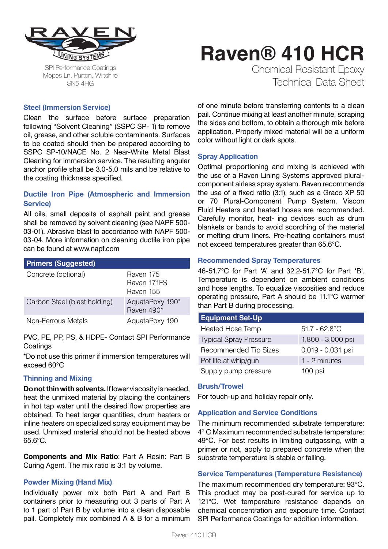

SPI Performance Coatings Mopes Ln, Purton, Wiltshire SN5 4HG

# **Raven® 410 HCR** Chemical Resistant Epoxy

Technical Data Sheet

#### **Steel (Immersion Service)**

Clean the surface before surface preparation following "Solvent Cleaning" (SSPC SP- 1) to remove oil, grease, and other soluble contaminants. Surfaces to be coated should then be prepared according to SSPC SP-10/NACE No. 2 Near-White Metal Blast Cleaning for immersion service. The resulting angular anchor profile shall be 3.0-5.0 mils and be relative to the coating thickness specified.

#### **Ductile Iron Pipe (Atmospheric and Immersion Service)**

All oils, small deposits of asphalt paint and grease shall be removed by solvent cleaning (see NAPF 500- 03-01). Abrasive blast to accordance with NAPF 500- 03-04. More information on cleaning ductile iron pipe can be found at www.napf.com

| <b>Primers (Suggested)</b>   |                                       |
|------------------------------|---------------------------------------|
| Concrete (optional)          | Raven 175<br>Raven 171FS<br>Raven 155 |
| Carbon Steel (blast holding) | AquataPoxy 190*<br>Raven 490*         |
| Non-Ferrous Metals           | AquataPoxy 190                        |

PVC, PE, PP, PS, & HDPE- Contact SPI Performance **Coatings** 

\*Do not use this primer if immersion temperatures will exceed 60°C

#### **Thinning and Mixing**

**Do not thin with solvents.** If lower viscosity is needed, heat the unmixed material by placing the containers in hot tap water until the desired flow properties are obtained. To heat larger quantities, drum heaters or inline heaters on specialized spray equipment may be used. Unmixed material should not be heated above 65.6°C.

**Components and Mix Ratio**: Part A Resin: Part B Curing Agent. The mix ratio is 3:1 by volume.

#### **Powder Mixing (Hand Mix)**

Individually power mix both Part A and Part B containers prior to measuring out 3 parts of Part A to 1 part of Part B by volume into a clean disposable pail. Completely mix combined A & B for a minimum of one minute before transferring contents to a clean pail. Continue mixing at least another minute, scraping the sides and bottom, to obtain a thorough mix before application. Properly mixed material will be a uniform color without light or dark spots.

#### **Spray Application**

Optimal proportioning and mixing is achieved with the use of a Raven Lining Systems approved pluralcomponent airless spray system. Raven recommends the use of a fixed ratio (3:1), such as a Graco XP 50 or 70 Plural-Component Pump System. Viscon Fluid Heaters and heated hoses are recommended. Carefully monitor, heat- ing devices such as drum blankets or bands to avoid scorching of the material or melting drum liners. Pre-heating containers must not exceed temperatures greater than 65.6°C.

#### **Recommended Spray Temperatures**

46-51.7°C for Part 'A' and 32.2-51.7°C for Part 'B'. Temperature is dependent on ambient conditions and hose lengths. To equalize viscosities and reduce operating pressure, Part A should be 11.1°C warmer than Part B during processing.

#### **Equipment Set-Up**

| <b>Heated Hose Temp</b>       | $51.7 - 62.8$ °C  |
|-------------------------------|-------------------|
| <b>Typical Spray Pressure</b> | 1,800 - 3,000 psi |
| <b>Recommended Tip Sizes</b>  | 0.019 - 0.031 psi |
| Pot life at whip/gun          | 1 - 2 minutes     |
| Supply pump pressure          | 100 psi           |

#### **Brush/Trowel**

For touch-up and holiday repair only.

#### **Application and Service Conditions**

The minimum recommended substrate temperature: 4° C Maximum recommended substrate temperature: 49°C. For best results in limiting outgassing, with a primer or not, apply to prepared concrete when the substrate temperature is stable or falling.

#### **Service Temperatures (Temperature Resistance)**

The maximum recommended dry temperature: 93°C. This product may be post-cured for service up to 121°C. Wet temperature resistance depends on chemical concentration and exposure time. Contact SPI Performance Coatings for addition information.